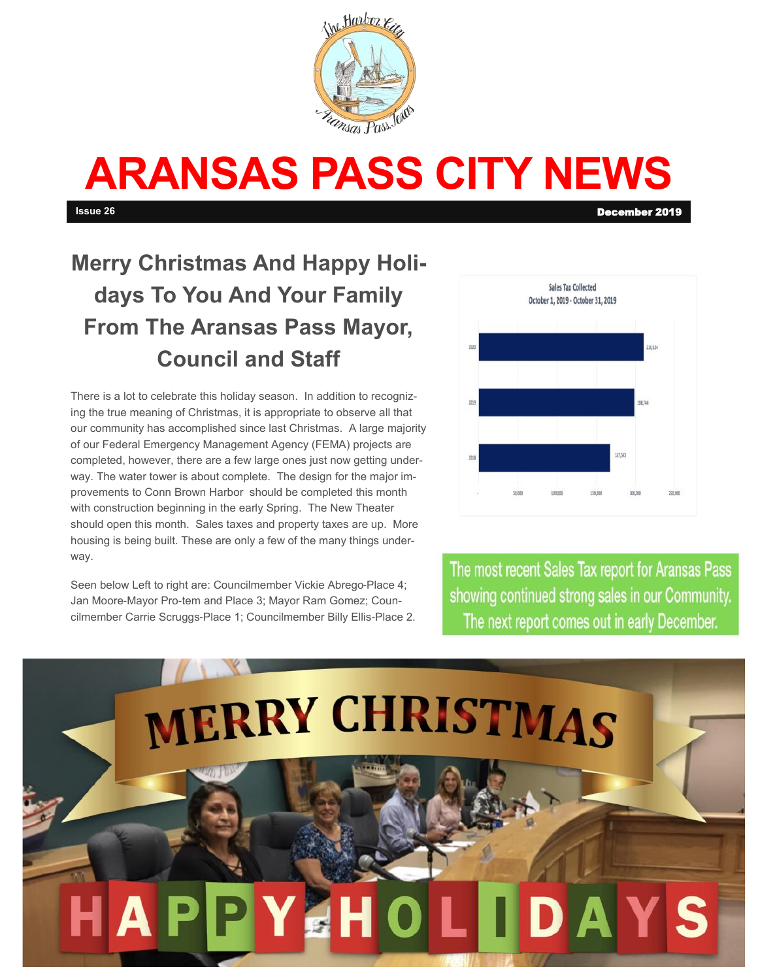

# **ARANSAS PASS CITY NEWS**

**Issue 26** December 2019

# **Merry Christmas And Happy Holidays To You And Your Family From The Aransas Pass Mayor, Council and Staff**

There is a lot to celebrate this holiday season. In addition to recognizing the true meaning of Christmas, it is appropriate to observe all that our community has accomplished since last Christmas. A large majority of our Federal Emergency Management Agency (FEMA) projects are completed, however, there are a few large ones just now getting underway. The water tower is about complete. The design for the major improvements to Conn Brown Harbor should be completed this month with construction beginning in the early Spring. The New Theater should open this month. Sales taxes and property taxes are up. More housing is being built. These are only a few of the many things underway.

Seen below Left to right are: Councilmember Vickie Abrego-Place 4; Jan Moore-Mayor Pro-tem and Place 3; Mayor Ram Gomez; Councilmember Carrie Scruggs-Place 1; Councilmember Billy Ellis-Place 2.



The most recent Sales Tax report for Aransas Pass showing continued strong sales in our Community. The next report comes out in early December.

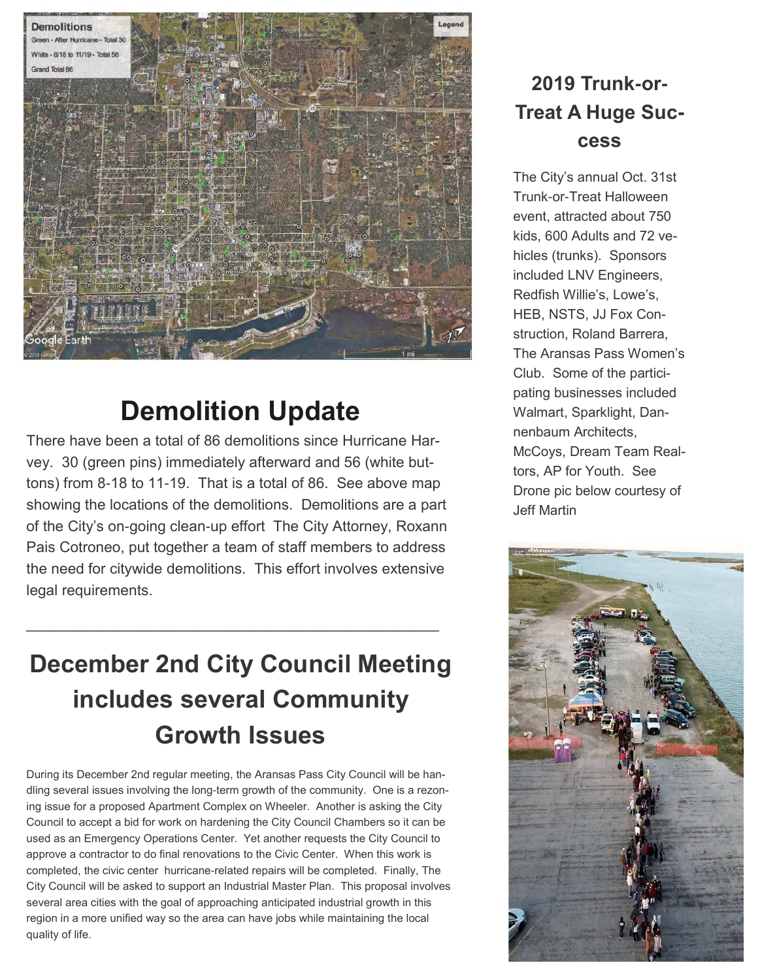

# **Demolition Update**

There have been a total of 86 demolitions since Hurricane Harvey. 30 (green pins) immediately afterward and 56 (white buttons) from 8-18 to 11-19. That is a total of 86. See above map showing the locations of the demolitions. Demolitions are a part of the City's on-going clean-up effort The City Attorney, Roxann Pais Cotroneo, put together a team of staff members to address the need for citywide demolitions. This effort involves extensive legal requirements.

# **December 2nd City Council Meeting includes several Community Growth Issues**

\_\_\_\_\_\_\_\_\_\_\_\_\_\_\_\_\_\_\_\_\_\_\_\_\_\_\_\_\_\_\_\_\_\_\_\_\_\_\_\_\_\_\_\_\_\_\_\_\_\_

During its December 2nd regular meeting, the Aransas Pass City Council will be handling several issues involving the long-term growth of the community. One is a rezoning issue for a proposed Apartment Complex on Wheeler. Another is asking the City Council to accept a bid for work on hardening the City Council Chambers so it can be used as an Emergency Operations Center. Yet another requests the City Council to approve a contractor to do final renovations to the Civic Center. When this work is completed, the civic center hurricane-related repairs will be completed. Finally, The City Council will be asked to support an Industrial Master Plan. This proposal involves several area cities with the goal of approaching anticipated industrial growth in this region in a more unified way so the area can have jobs while maintaining the local quality of life.

#### **2019 Trunk-or-Treat A Huge Success**

The City's annual Oct. 31st Trunk-or-Treat Halloween event, attracted about 750 kids, 600 Adults and 72 vehicles (trunks). Sponsors included LNV Engineers, Redfish Willie's, Lowe's, HEB, NSTS, JJ Fox Construction, Roland Barrera, The Aransas Pass Women's Club. Some of the participating businesses included Walmart, Sparklight, Dannenbaum Architects, McCoys, Dream Team Realtors, AP for Youth. See Drone pic below courtesy of Jeff Martin

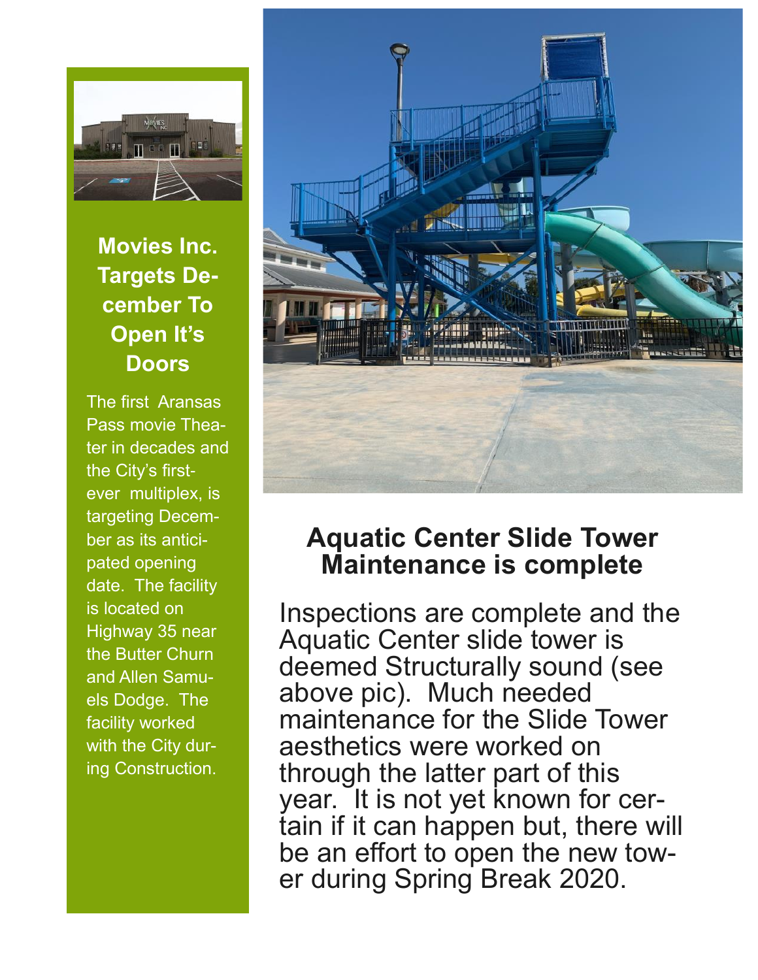

## **Movies Inc. Targets December To Open It's Doors**

The first Aransas Pass movie Theater in decades and the City's firstever multiplex, is targeting December as its anticipated opening date. The facility is located on Highway 35 near the Butter Churn and Allen Samuels Dodge. The facility worked with the City during Construction.



## **Aquatic Center Slide Tower Maintenance is complete**

Inspections are complete and the Aquatic Center slide tower is deemed Structurally sound (see above pic). Much needed maintenance for the Slide Tower aesthetics were worked on through the latter part of this year. It is not yet known for certain if it can happen but, there will be an effort to open the new tower during Spring Break 2020.